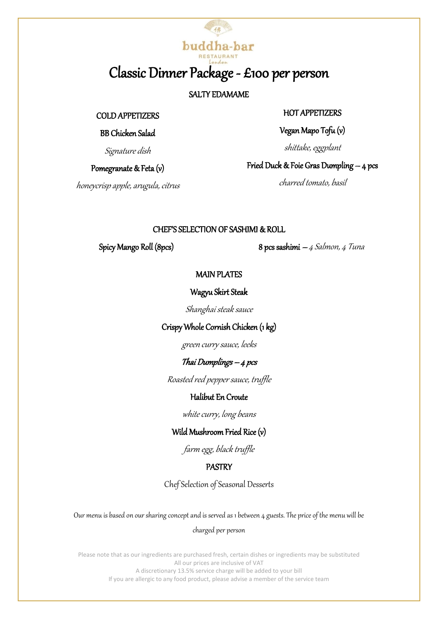# buddha-bar Classic Dinner Package - £100 per person

# SALTY EDAMAME

#### COLD APPETIZERS

# BB Chicken Salad

Signature dish

Pomegranate & Feta (v)

honeycrisp apple, arugula, citrus

# HOT APPETIZERS

Vegan Mapo Tofu (v)

shittake, eggplant

Fried Duck & Foie Gras Dumpling – 4 pcs

charred tomato, basil

## CHEF'S SELECTION OF SASHIMI & ROLL

Spicy Mango Roll (8pcs) 8 pcs sashimi – 4 Salmon, 4 Tuna

## MAIN PLATES

#### Wagyu Skirt Steak

Shanghai steak sauce

# Crispy Whole Cornish Chicken (1 kg)

green curry sauce, leeks

# Thai Dumplings – 4 pcs

Roasted red pepper sauce, truffle

# Halibut En Croute

white curry, long beans

# Wild Mushroom Fried Rice (v)

farm egg, black truffle

# PASTRY

ChefSelection of Seasonal Desserts

Our menu is based on our sharing concept and is served as 1 between 4 guests. The price of the menu will be

#### charged per person

Please note that as our ingredients are purchased fresh, certain dishes or ingredients may be substituted All our prices are inclusive of VAT A discretionary 13.5% service charge will be added to your bill If you are allergic to any food product, please advise a member of the service team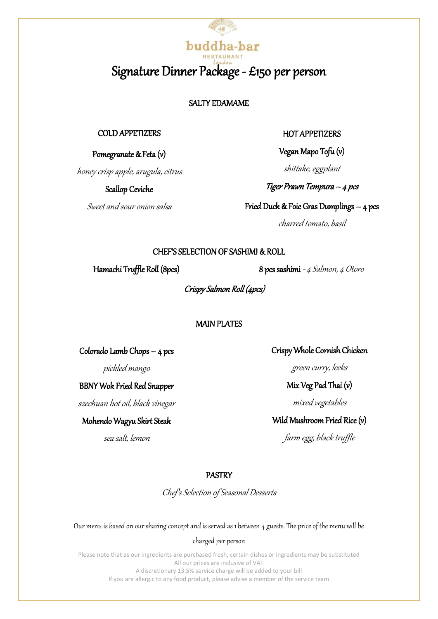# buddha-bar Signature Dinner Package - £150 per person

# SALTY EDAMAME

#### COLD APPETIZERS

Pomegranate & Feta (v)

honey crisp apple, arugula, citrus

Scallop Ceviche

Sweet and sour onion salsa

#### HOT APPETIZERS

Vegan Mapo Tofu (v)

shittake, eggplant

Tiger Prawn Tempura – 4 pcs

Fried Duck & Foie Gras Dumplings – 4 pcs

charred tomato, basil

#### CHEF'S SELECTION OF SASHIMI & ROLL

Hamachi Truffle Roll (8pcs) 8 pcs sashimi - 4 Salmon, 4 Otoro

Crispy Salmon Roll (4pcs)

#### MAIN PLATES

Colorado Lamb Chops – 4 pcs

pickled mango

# BBNY Wok Fried Red Snapper

szechuan hot oil, black vinegar

Mohendo Wagyu Skirt Steak

sea salt, lemon

Crispy Whole Cornish Chicken

green curry, leeks

Mix Veg Pad Thai (v)

mixed vegetables

Wild Mushroom Fried Rice (v)

farm egg, black truffle

#### PASTRY

Chef's Selection of Seasonal Desserts

Our menu is based on our sharing concept and is served as 1 between 4 guests. The price of the menu will be

#### charged per person

Please note that as our ingredients are purchased fresh, certain dishes or ingredients may be substituted All our prices are inclusive of VAT A discretionary 13.5% service charge will be added to your bill If you are allergic to any food product, please advise a member of the service team